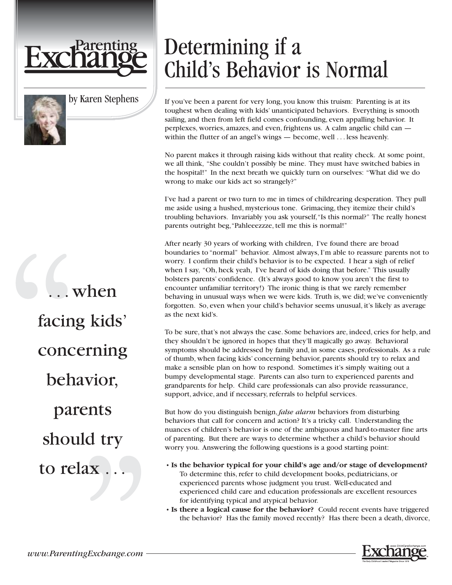

by Karen Stephens

. when facing kids' concerning behavior, parents should try to relax.

## Determining if a Child's Behavior is Normal

If you've been a parent for very long, you know this truism: Parenting is at its toughest when dealing with kids' unanticipated behaviors. Everything is smooth sailing, and then from left field comes confounding, even appalling behavior. It perplexes, worries, amazes, and even, frightens us. A calm angelic child can within the flutter of an angel's wings — become, well . . . less heavenly.

No parent makes it through raising kids without that reality check. At some point, we all think, "She couldn't possibly be mine. They must have switched babies in the hospital!" In the next breath we quickly turn on ourselves: "What did we do wrong to make our kids act so strangely?"

I've had a parent or two turn to me in times of childrearing desperation. They pull me aside using a hushed, mysterious tone. Grimacing, they itemize their child's troubling behaviors. Invariably you ask yourself,"Is this normal?" The really honest parents outright beg,"Pahleeezzze, tell me this is normal!"

After nearly 30 years of working with children, I've found there are broad boundaries to "normal" behavior. Almost always, I'm able to reassure parents not to worry. I confirm their child's behavior is to be expected. I hear a sigh of relief when I say, "Oh, heck yeah, I've heard of kids doing that before." This usually bolsters parents' confidence. (It's always good to know you aren't the first to encounter unfamiliar territory!) The ironic thing is that we rarely remember behaving in unusual ways when we were kids. Truth is, we did; we've conveniently forgotten. So, even when your child's behavior seems unusual, it's likely as average as the next kid's.

To be sure, that's not always the case. Some behaviors are, indeed, cries for help, and they shouldn't be ignored in hopes that they'll magically go away. Behavioral symptoms should be addressed by family and, in some cases, professionals. As a rule of thumb, when facing kids' concerning behavior, parents should try to relax and make a sensible plan on how to respond. Sometimes it's simply waiting out a bumpy developmental stage. Parents can also turn to experienced parents and grandparents for help. Child care professionals can also provide reassurance, support, advice, and if necessary, referrals to helpful services.

But how do you distinguish benign, *false alarm* behaviors from disturbing behaviors that call for concern and action? It's a tricky call. Understanding the nuances of children's behavior is one of the ambiguous and hard-to-master fine arts of parenting. But there are ways to determine whether a child's behavior should worry you. Answering the following questions is a good starting point:

- **Is the behavior typical for your child's age and/or stage of development?** To determine this, refer to child development books, pediatricians, or experienced parents whose judgment you trust. Well-educated and experienced child care and education professionals are excellent resources for identifying typical and atypical behavior.
- **Is there a logical cause for the behavior?** Could recent events have triggered the behavior? Has the family moved recently? Has there been a death, divorce,